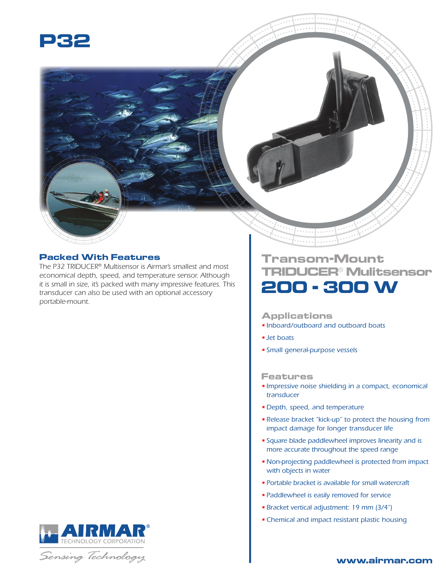

## **Packed With Features**

*The P32 TRIDUCER® Multisensor is Airmar's smallest and most economical depth, speed, and temperature sensor. Although it is small in size, it's packed with many impressive features. This transducer can also be used with an optional accessory portable-mount.*



## **Applications**

- *Inboard/outboard and outboard boats*
- *Jet boats*
- *Small general-purpose vessels*

## **Features**

- *Impressive noise shielding in a compact, economical transducer*
- *Depth, speed, and temperature*
- *Release bracket "kick-up" to protect the housing from impact damage for longer transducer life*
- *Square blade paddlewheel improves linearity and is more accurate throughout the speed range*
- •*Non-projecting paddlewheel is protected from impact with objects in water*
- *Portable bracket is available for small watercraft*
- *Paddlewheel is easily removed for service*
- *Bracket vertical adjustment: 19 mm (3/4")*
- •*Chemical and impact resistant plastic housing*